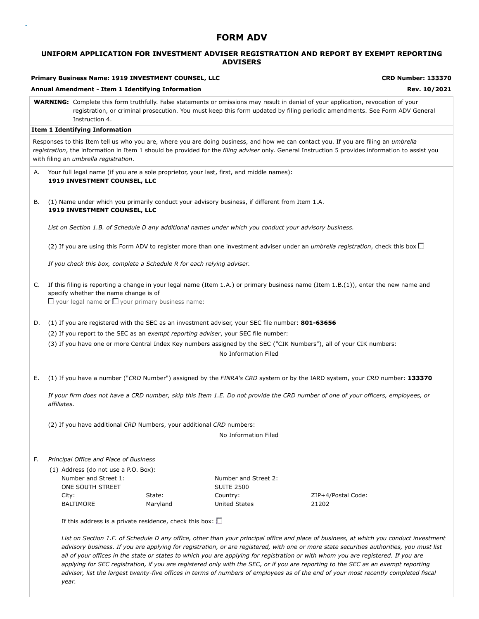# **FORM ADV**

## **UNIFORM APPLICATION FOR INVESTMENT ADVISER REGISTRATION AND REPORT BY EXEMPT REPORTING ADVISERS**

|    |             | Primary Business Name: 1919 INVESTMENT COUNSEL, LLC<br>Annual Amendment - Item 1 Identifying Information |          |                                                                                                                                                                                                                | <b>CRD Number: 133370</b><br>Rev. 10/2021                                                                                                                                                                                                                                                                                                                                                                                                                                                                                                                    |
|----|-------------|----------------------------------------------------------------------------------------------------------|----------|----------------------------------------------------------------------------------------------------------------------------------------------------------------------------------------------------------------|--------------------------------------------------------------------------------------------------------------------------------------------------------------------------------------------------------------------------------------------------------------------------------------------------------------------------------------------------------------------------------------------------------------------------------------------------------------------------------------------------------------------------------------------------------------|
|    |             | Instruction 4.                                                                                           |          |                                                                                                                                                                                                                | <b>WARNING:</b> Complete this form truthfully. False statements or omissions may result in denial of your application, revocation of your<br>registration, or criminal prosecution. You must keep this form updated by filing periodic amendments. See Form ADV General                                                                                                                                                                                                                                                                                      |
|    |             | <b>Item 1 Identifying Information</b>                                                                    |          |                                                                                                                                                                                                                |                                                                                                                                                                                                                                                                                                                                                                                                                                                                                                                                                              |
|    |             | with filing an umbrella registration.                                                                    |          |                                                                                                                                                                                                                | Responses to this Item tell us who you are, where you are doing business, and how we can contact you. If you are filing an <i>umbrella</i><br>registration, the information in Item 1 should be provided for the filing adviser only. General Instruction 5 provides information to assist you                                                                                                                                                                                                                                                               |
| А. |             | 1919 INVESTMENT COUNSEL, LLC                                                                             |          | Your full legal name (if you are a sole proprietor, your last, first, and middle names):                                                                                                                       |                                                                                                                                                                                                                                                                                                                                                                                                                                                                                                                                                              |
| В. |             | 1919 INVESTMENT COUNSEL, LLC                                                                             |          | (1) Name under which you primarily conduct your advisory business, if different from Item 1.A.                                                                                                                 |                                                                                                                                                                                                                                                                                                                                                                                                                                                                                                                                                              |
|    |             |                                                                                                          |          | List on Section 1.B. of Schedule D any additional names under which you conduct your advisory business.                                                                                                        |                                                                                                                                                                                                                                                                                                                                                                                                                                                                                                                                                              |
|    |             |                                                                                                          |          |                                                                                                                                                                                                                | (2) If you are using this Form ADV to register more than one investment adviser under an <i>umbrella registration</i> , check this box $\Box$                                                                                                                                                                                                                                                                                                                                                                                                                |
|    |             | If you check this box, complete a Schedule R for each relying adviser.                                   |          |                                                                                                                                                                                                                |                                                                                                                                                                                                                                                                                                                                                                                                                                                                                                                                                              |
| C. |             | specify whether the name change is of<br>$\Box$ your legal name or $\Box$ your primary business name:    |          |                                                                                                                                                                                                                | If this filing is reporting a change in your legal name (Item 1.A.) or primary business name (Item $1.B.(1)$ ), enter the new name and                                                                                                                                                                                                                                                                                                                                                                                                                       |
| D. |             |                                                                                                          |          | (1) If you are registered with the SEC as an investment adviser, your SEC file number: 801-63656<br>(2) If you report to the SEC as an exempt reporting adviser, your SEC file number:<br>No Information Filed | (3) If you have one or more Central Index Key numbers assigned by the SEC ("CIK Numbers"), all of your CIK numbers:                                                                                                                                                                                                                                                                                                                                                                                                                                          |
| Е. |             |                                                                                                          |          |                                                                                                                                                                                                                | (1) If you have a number ("CRD Number") assigned by the FINRA's CRD system or by the IARD system, your CRD number: 133370                                                                                                                                                                                                                                                                                                                                                                                                                                    |
|    | affiliates. |                                                                                                          |          |                                                                                                                                                                                                                | If your firm does not have a CRD number, skip this Item 1.E. Do not provide the CRD number of one of your officers, employees, or                                                                                                                                                                                                                                                                                                                                                                                                                            |
|    |             | (2) If you have additional CRD Numbers, your additional CRD numbers:                                     |          |                                                                                                                                                                                                                |                                                                                                                                                                                                                                                                                                                                                                                                                                                                                                                                                              |
|    |             |                                                                                                          |          | No Information Filed                                                                                                                                                                                           |                                                                                                                                                                                                                                                                                                                                                                                                                                                                                                                                                              |
| F. |             | Principal Office and Place of Business                                                                   |          |                                                                                                                                                                                                                |                                                                                                                                                                                                                                                                                                                                                                                                                                                                                                                                                              |
|    | City:       | (1) Address (do not use a P.O. Box):<br>Number and Street 1:<br>ONE SOUTH STREET                         | State:   | Number and Street 2:<br><b>SUITE 2500</b><br>Country:                                                                                                                                                          | ZIP+4/Postal Code:                                                                                                                                                                                                                                                                                                                                                                                                                                                                                                                                           |
|    |             | <b>BALTIMORE</b>                                                                                         | Maryland | <b>United States</b>                                                                                                                                                                                           | 21202                                                                                                                                                                                                                                                                                                                                                                                                                                                                                                                                                        |
|    |             | If this address is a private residence, check this box: $\square$                                        |          |                                                                                                                                                                                                                |                                                                                                                                                                                                                                                                                                                                                                                                                                                                                                                                                              |
|    |             |                                                                                                          |          |                                                                                                                                                                                                                | List on Section 1.F. of Schedule D any office, other than your principal office and place of business, at which you conduct investment<br>advisory business. If you are applying for registration, or are registered, with one or more state securities authorities, you must list<br>all of your offices in the state or states to which you are applying for registration or with whom you are registered. If you are<br>applying for SEC registration, if you are registered only with the SEC, or if you are reporting to the SEC as an exempt reporting |

*adviser, list the largest twenty-five offices in terms of numbers of employees as of the end of your most recently completed fiscal*

*year.*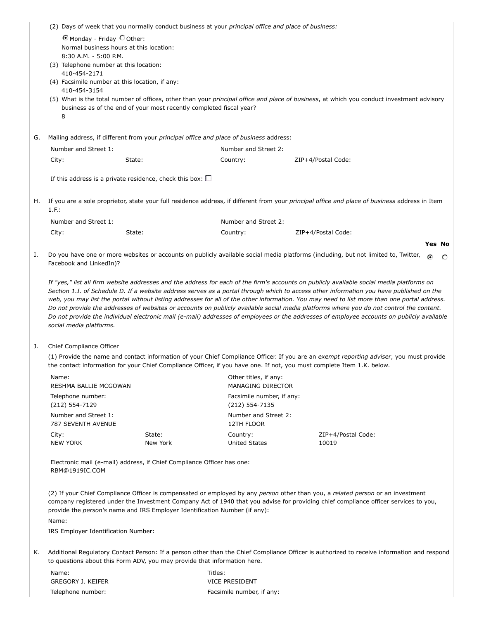|    | (2) Days of week that you normally conduct business at your principal office and place of business: |                                                                                                                        |                                                                                         |                                                                                                                                                                                                                                                                                                                                                                                                                                                                                                                                                                                                                                                                                                                             |  |  |  |  |
|----|-----------------------------------------------------------------------------------------------------|------------------------------------------------------------------------------------------------------------------------|-----------------------------------------------------------------------------------------|-----------------------------------------------------------------------------------------------------------------------------------------------------------------------------------------------------------------------------------------------------------------------------------------------------------------------------------------------------------------------------------------------------------------------------------------------------------------------------------------------------------------------------------------------------------------------------------------------------------------------------------------------------------------------------------------------------------------------------|--|--|--|--|
|    |                                                                                                     | C Monday - Friday C Other:                                                                                             |                                                                                         |                                                                                                                                                                                                                                                                                                                                                                                                                                                                                                                                                                                                                                                                                                                             |  |  |  |  |
|    |                                                                                                     | Normal business hours at this location:                                                                                |                                                                                         |                                                                                                                                                                                                                                                                                                                                                                                                                                                                                                                                                                                                                                                                                                                             |  |  |  |  |
|    | 8:30 A.M. - 5:00 P.M.                                                                               |                                                                                                                        |                                                                                         |                                                                                                                                                                                                                                                                                                                                                                                                                                                                                                                                                                                                                                                                                                                             |  |  |  |  |
|    | (3) Telephone number at this location:<br>410-454-2171                                              |                                                                                                                        |                                                                                         |                                                                                                                                                                                                                                                                                                                                                                                                                                                                                                                                                                                                                                                                                                                             |  |  |  |  |
|    | (4) Facsimile number at this location, if any:                                                      |                                                                                                                        |                                                                                         |                                                                                                                                                                                                                                                                                                                                                                                                                                                                                                                                                                                                                                                                                                                             |  |  |  |  |
|    | 410-454-3154                                                                                        |                                                                                                                        |                                                                                         |                                                                                                                                                                                                                                                                                                                                                                                                                                                                                                                                                                                                                                                                                                                             |  |  |  |  |
|    | 8                                                                                                   | business as of the end of your most recently completed fiscal year?                                                    |                                                                                         | (5) What is the total number of offices, other than your principal office and place of business, at which you conduct investment advisory                                                                                                                                                                                                                                                                                                                                                                                                                                                                                                                                                                                   |  |  |  |  |
| G. |                                                                                                     |                                                                                                                        | Mailing address, if different from your principal office and place of business address: |                                                                                                                                                                                                                                                                                                                                                                                                                                                                                                                                                                                                                                                                                                                             |  |  |  |  |
|    | Number and Street 1:                                                                                |                                                                                                                        | Number and Street 2:                                                                    |                                                                                                                                                                                                                                                                                                                                                                                                                                                                                                                                                                                                                                                                                                                             |  |  |  |  |
|    | City:                                                                                               | State:                                                                                                                 | Country:                                                                                | ZIP+4/Postal Code:                                                                                                                                                                                                                                                                                                                                                                                                                                                                                                                                                                                                                                                                                                          |  |  |  |  |
|    |                                                                                                     | If this address is a private residence, check this box: $\square$                                                      |                                                                                         |                                                                                                                                                                                                                                                                                                                                                                                                                                                                                                                                                                                                                                                                                                                             |  |  |  |  |
| н. |                                                                                                     |                                                                                                                        |                                                                                         | If you are a sole proprietor, state your full residence address, if different from your principal office and place of business address in Item                                                                                                                                                                                                                                                                                                                                                                                                                                                                                                                                                                              |  |  |  |  |
|    | 1.F.:                                                                                               |                                                                                                                        |                                                                                         |                                                                                                                                                                                                                                                                                                                                                                                                                                                                                                                                                                                                                                                                                                                             |  |  |  |  |
|    | Number and Street 1:                                                                                |                                                                                                                        | Number and Street 2:                                                                    |                                                                                                                                                                                                                                                                                                                                                                                                                                                                                                                                                                                                                                                                                                                             |  |  |  |  |
|    | City:                                                                                               | State:                                                                                                                 | Country:                                                                                | ZIP+4/Postal Code:                                                                                                                                                                                                                                                                                                                                                                                                                                                                                                                                                                                                                                                                                                          |  |  |  |  |
|    |                                                                                                     |                                                                                                                        |                                                                                         | <b>Yes No</b>                                                                                                                                                                                                                                                                                                                                                                                                                                                                                                                                                                                                                                                                                                               |  |  |  |  |
| Ι. | Facebook and LinkedIn)?                                                                             |                                                                                                                        |                                                                                         | Do you have one or more websites or accounts on publicly available social media platforms (including, but not limited to, Twitter,<br>$\odot$<br>O                                                                                                                                                                                                                                                                                                                                                                                                                                                                                                                                                                          |  |  |  |  |
|    | social media platforms.                                                                             |                                                                                                                        |                                                                                         | If "yes," list all firm website addresses and the address for each of the firm's accounts on publicly available social media platforms on<br>Section 1.1. of Schedule D. If a website address serves as a portal through which to access other information you have published on the<br>web, you may list the portal without listing addresses for all of the other information. You may need to list more than one portal address.<br>Do not provide the addresses of websites or accounts on publicly available social media platforms where you do not control the content.<br>Do not provide the individual electronic mail (e-mail) addresses of employees or the addresses of employee accounts on publicly available |  |  |  |  |
| J. | Chief Compliance Officer                                                                            |                                                                                                                        |                                                                                         |                                                                                                                                                                                                                                                                                                                                                                                                                                                                                                                                                                                                                                                                                                                             |  |  |  |  |
|    |                                                                                                     |                                                                                                                        |                                                                                         | (1) Provide the name and contact information of your Chief Compliance Officer. If you are an exempt reporting adviser, you must provide                                                                                                                                                                                                                                                                                                                                                                                                                                                                                                                                                                                     |  |  |  |  |
|    |                                                                                                     | the contact information for your Chief Compliance Officer, if you have one. If not, you must complete Item 1.K. below. |                                                                                         |                                                                                                                                                                                                                                                                                                                                                                                                                                                                                                                                                                                                                                                                                                                             |  |  |  |  |
|    | Name:<br>RESHMA BALLIE MCGOWAN                                                                      |                                                                                                                        | Other titles, if any:<br><b>MANAGING DIRECTOR</b>                                       |                                                                                                                                                                                                                                                                                                                                                                                                                                                                                                                                                                                                                                                                                                                             |  |  |  |  |
|    | Telephone number:<br>(212) 554-7129                                                                 |                                                                                                                        | Facsimile number, if any:<br>(212) 554-7135                                             |                                                                                                                                                                                                                                                                                                                                                                                                                                                                                                                                                                                                                                                                                                                             |  |  |  |  |
|    | Number and Street 1:<br><b>787 SEVENTH AVENUE</b>                                                   |                                                                                                                        | Number and Street 2:<br>12TH FLOOR                                                      |                                                                                                                                                                                                                                                                                                                                                                                                                                                                                                                                                                                                                                                                                                                             |  |  |  |  |
|    | City:<br><b>NEW YORK</b>                                                                            | State:<br>New York                                                                                                     | Country:<br><b>United States</b>                                                        | ZIP+4/Postal Code:<br>10019                                                                                                                                                                                                                                                                                                                                                                                                                                                                                                                                                                                                                                                                                                 |  |  |  |  |
|    | RBM@1919IC.COM                                                                                      | Electronic mail (e-mail) address, if Chief Compliance Officer has one:                                                 |                                                                                         |                                                                                                                                                                                                                                                                                                                                                                                                                                                                                                                                                                                                                                                                                                                             |  |  |  |  |
|    |                                                                                                     | provide the person's name and IRS Employer Identification Number (if any):                                             |                                                                                         | (2) If your Chief Compliance Officer is compensated or employed by any person other than you, a related person or an investment<br>company registered under the Investment Company Act of 1940 that you advise for providing chief compliance officer services to you,                                                                                                                                                                                                                                                                                                                                                                                                                                                      |  |  |  |  |
|    | Name:                                                                                               |                                                                                                                        |                                                                                         |                                                                                                                                                                                                                                                                                                                                                                                                                                                                                                                                                                                                                                                                                                                             |  |  |  |  |
|    | IRS Employer Identification Number:                                                                 |                                                                                                                        |                                                                                         |                                                                                                                                                                                                                                                                                                                                                                                                                                                                                                                                                                                                                                                                                                                             |  |  |  |  |

K. Additional Regulatory Contact Person: If a person other than the Chief Compliance Officer is authorized to receive information and respond to questions about this Form ADV, you may provide that information here.

| Name:                    |
|--------------------------|
| <b>GREGORY J. KEIFER</b> |
| Telephone number:        |

Titles: VICE PRESIDENT Facsimile number, if any: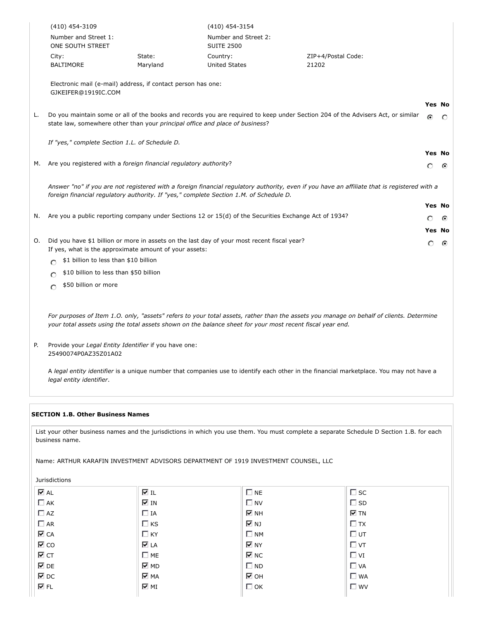| (410) 454-3109                           |                    | (410) 454-3154                     |                             |  |
|------------------------------------------|--------------------|------------------------------------|-----------------------------|--|
| Number and Street 1:<br>ONE SOUTH STREET |                    | Number and Street 2:<br>SUITE 2500 |                             |  |
| City:<br>BALTIMORE                       | State:<br>Maryland | Country:<br>United States          | ZIP+4/Postal Code:<br>21202 |  |

Electronic mail (e-mail) address, if contact person has one: GJKEIFER@1919IC.COM

| L. Do you maintain some or all of the books and records you are required to keep under Section 204 of the Advisers Act, or similar $\sigma$<br>state law, somewhere other than your <i>principal office and place of business</i> ? |  |  |
|-------------------------------------------------------------------------------------------------------------------------------------------------------------------------------------------------------------------------------------|--|--|
|                                                                                                                                                                                                                                     |  |  |

**Yes No**

**Yes No**

 $\Omega$ ◠

**Yes No**

*If "yes," complete Section 1.L. of Schedule D.*

M. Are you registered with a *foreign financial regulatory authority*?

*Answer "no" if you are not registered with a foreign financial regulatory authority, even if you have an affiliate that is registered with a foreign financial regulatory authority. If "yes," complete Section 1.M. of Schedule D.*

|    | N. Are you a public reporting company under Sections 12 or $15(d)$ of the Securities Exchange Act of 1934? | റ ര           |  |
|----|------------------------------------------------------------------------------------------------------------|---------------|--|
|    |                                                                                                            | <b>Yes No</b> |  |
| O. | Did you have \$1 billion or more in assets on the last day of your most recent fiscal year?                | റ ര           |  |

If yes, what is the approximate amount of your assets:

- $\bigcirc$  \$1 billion to less than \$10 billion
- $\bigcirc$  \$10 billion to less than \$50 billion
- $\bigcirc$  \$50 billion or more

*For purposes of Item 1.O. only, "assets" refers to your total assets, rather than the assets you manage on behalf of clients. Determine your total assets using the total assets shown on the balance sheet for your most recent fiscal year end.*

P. Provide your *Legal Entity Identifier* if you have one: 25490074P0AZ35Z01A02

A *legal entity identifier* is a unique number that companies use to identify each other in the financial marketplace. You may not have a *legal entity identifier*.

### **SECTION 1.B. Other Business Names**

List your other business names and the jurisdictions in which you use them. You must complete a separate Schedule D Section 1.B. for each business name.

Name: ARTHUR KARAFIN INVESTMENT ADVISORS DEPARTMENT OF 1919 INVESTMENT COUNSEL, LLC

Jurisdictions

| <b>⊽</b> AL       | l I                           | $\square$ NE                  | $\square$ sc |
|-------------------|-------------------------------|-------------------------------|--------------|
| $\Box$ AK         | ⊽ IN                          | $\Box$ NV                     | $\square$ SD |
| $\Box$ AZ         | $\Box$ IA                     | $\overline{\triangledown}$ NH | $\nabla$ TN  |
| $\Box$ AR         | $\Box$ KS                     | ৰ µ                           | $\Box$ TX    |
| $\nabla$ CA       | $\Box$ KY                     | $\square$ NM                  | $\Box$ UT    |
| $\overline{M}$ CO | <b>⊽</b> LA                   | $\overline{\triangledown}$ NY | $\Box$ VT    |
| ⊽ст               | $\Box$ ME                     | $\nabla$ NC                   | $\Box$ VI    |
| $\nabla$ DE       | $\overline{\triangledown}$ MD | $\square$ ND                  | $\Box$ VA    |
| $\overline{M}$ DC | <b>V</b> MA                   | ⊽он                           | $\Box$ WA    |
| V FL              | ⊽ শা                          | $\Box$ OK                     | $\Box$ WV    |
|                   |                               |                               |              |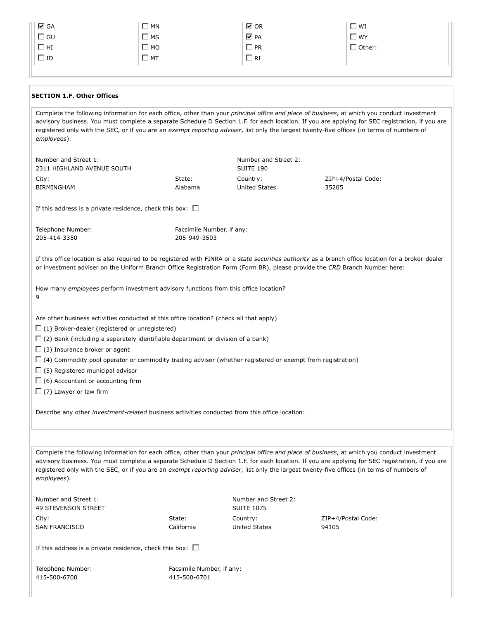| $\overline{M}$ GA | $\Box$ MN    | $\nabla$ OR     | $\square$ wi  |
|-------------------|--------------|-----------------|---------------|
| $\Box$ GU         | $\square$ MS | $\nabla$ PA     | $\Box$ WY     |
| $\Box$ HI         | $\Box$ MO    | <sup>1</sup> PR | $\Box$ Other: |
| $\Box$ ID         | $\Box$ MT    | ] RI            |               |

#### **SECTION 1.F. Other Offices**

Complete the following information for each office, other than your *principal office and place of business*, at which you conduct investment advisory business. You must complete a separate Schedule D Section 1.F. for each location. If you are applying for SEC registration, if you are registered only with the SEC, or if you are an *exempt reporting adviser*, list only the largest twenty-five offices (in terms of numbers of *employees*). Number and Street 1: 2311 HIGHLAND AVENUE SOUTH Number and Street 2: SUITE 190 City: BIRMINGHAM State: Alabama Country: United States ZIP+4/Postal Code: 35205 If this address is a private residence, check this box:  $\square$ Telephone Number: 205-414-3350 Facsimile Number, if any: 205-949-3503 If this office location is also required to be registered with FINRA or a *state securities authority* as a branch office location for a broker-dealer or investment adviser on the Uniform Branch Office Registration Form (Form BR), please provide the *CRD* Branch Number here: How many *employees* perform investment advisory functions from this office location? 9 Are other business activities conducted at this office location? (check all that apply)  $\Box$  (1) Broker-dealer (registered or unregistered)  $\square$  (2) Bank (including a separately identifiable department or division of a bank)  $\Box$  (3) Insurance broker or agent  $\Box$  (4) Commodity pool operator or commodity trading advisor (whether registered or exempt from registration)  $\square$  (5) Registered municipal advisor  $\Box$  (6) Accountant or accounting firm  $\Box$  (7) Lawyer or law firm Describe any other *investment-related* business activities conducted from this office location: Complete the following information for each office, other than your *principal office and place of business*, at which you conduct investment advisory business. You must complete a separate Schedule D Section 1.F. for each location. If you are applying for SEC registration, if you are registered only with the SEC, or if you are an *exempt reporting adviser*, list only the largest twenty-five offices (in terms of numbers of *employees*). Number and Street 1: 49 STEVENSON STREET Number and Street 2: SUITE 1075 City: SAN FRANCISCO State: California Country: United States ZIP+4/Postal Code: 94105 If this address is a private residence, check this box:  $\Box$ 

Telephone Number: 415-500-6700

Facsimile Number, if any: 415-500-6701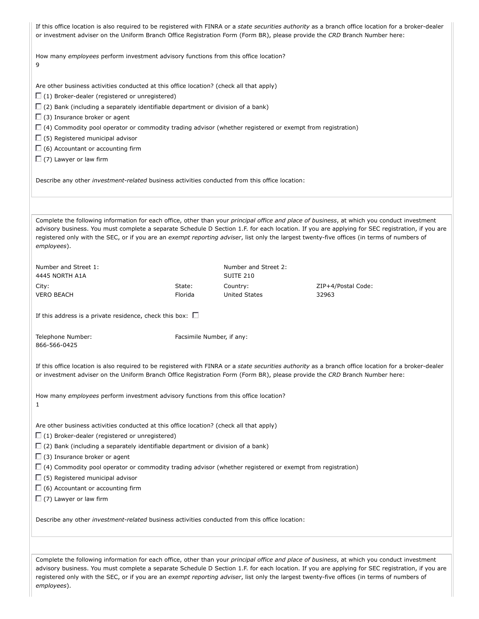| If this office location is also required to be registered with FINRA or a state securities authority as a branch office location for a broker-dealer<br>or investment adviser on the Uniform Branch Office Registration Form (Form BR), please provide the CRD Branch Number here: |                           |                                          |                                                                                                                                                                                                                                                                                                                                                                                                                                              |  |  |
|------------------------------------------------------------------------------------------------------------------------------------------------------------------------------------------------------------------------------------------------------------------------------------|---------------------------|------------------------------------------|----------------------------------------------------------------------------------------------------------------------------------------------------------------------------------------------------------------------------------------------------------------------------------------------------------------------------------------------------------------------------------------------------------------------------------------------|--|--|
| How many employees perform investment advisory functions from this office location?<br>9                                                                                                                                                                                           |                           |                                          |                                                                                                                                                                                                                                                                                                                                                                                                                                              |  |  |
| Are other business activities conducted at this office location? (check all that apply)                                                                                                                                                                                            |                           |                                          |                                                                                                                                                                                                                                                                                                                                                                                                                                              |  |  |
| $\Box$ (1) Broker-dealer (registered or unregistered)                                                                                                                                                                                                                              |                           |                                          |                                                                                                                                                                                                                                                                                                                                                                                                                                              |  |  |
| $\Box$ (2) Bank (including a separately identifiable department or division of a bank)                                                                                                                                                                                             |                           |                                          |                                                                                                                                                                                                                                                                                                                                                                                                                                              |  |  |
| $\Box$ (3) Insurance broker or agent                                                                                                                                                                                                                                               |                           |                                          |                                                                                                                                                                                                                                                                                                                                                                                                                                              |  |  |
| $\Box$ (4) Commodity pool operator or commodity trading advisor (whether registered or exempt from registration)                                                                                                                                                                   |                           |                                          |                                                                                                                                                                                                                                                                                                                                                                                                                                              |  |  |
| $\Box$ (5) Registered municipal advisor                                                                                                                                                                                                                                            |                           |                                          |                                                                                                                                                                                                                                                                                                                                                                                                                                              |  |  |
| $\Box$ (6) Accountant or accounting firm                                                                                                                                                                                                                                           |                           |                                          |                                                                                                                                                                                                                                                                                                                                                                                                                                              |  |  |
| $\Box$ (7) Lawyer or law firm                                                                                                                                                                                                                                                      |                           |                                          |                                                                                                                                                                                                                                                                                                                                                                                                                                              |  |  |
| Describe any other investment-related business activities conducted from this office location:                                                                                                                                                                                     |                           |                                          |                                                                                                                                                                                                                                                                                                                                                                                                                                              |  |  |
|                                                                                                                                                                                                                                                                                    |                           |                                          | Complete the following information for each office, other than your principal office and place of business, at which you conduct investment<br>advisory business. You must complete a separate Schedule D Section 1.F. for each location. If you are applying for SEC registration, if you are<br>registered only with the SEC, or if you are an exempt reporting adviser, list only the largest twenty-five offices (in terms of numbers of |  |  |
| employees).                                                                                                                                                                                                                                                                        |                           |                                          |                                                                                                                                                                                                                                                                                                                                                                                                                                              |  |  |
| Number and Street 1:<br>4445 NORTH A1A                                                                                                                                                                                                                                             |                           | Number and Street 2:<br><b>SUITE 210</b> |                                                                                                                                                                                                                                                                                                                                                                                                                                              |  |  |
| City:                                                                                                                                                                                                                                                                              | State:                    | Country:                                 | ZIP+4/Postal Code:                                                                                                                                                                                                                                                                                                                                                                                                                           |  |  |
| <b>VERO BEACH</b>                                                                                                                                                                                                                                                                  | Florida                   | <b>United States</b>                     | 32963                                                                                                                                                                                                                                                                                                                                                                                                                                        |  |  |
| If this address is a private residence, check this box: $\square$                                                                                                                                                                                                                  |                           |                                          |                                                                                                                                                                                                                                                                                                                                                                                                                                              |  |  |
| Telephone Number:<br>866-566-0425                                                                                                                                                                                                                                                  | Facsimile Number, if any: |                                          |                                                                                                                                                                                                                                                                                                                                                                                                                                              |  |  |
| or investment adviser on the Uniform Branch Office Registration Form (Form BR), please provide the CRD Branch Number here:                                                                                                                                                         |                           |                                          | If this office location is also required to be registered with FINRA or a state securities authority as a branch office location for a broker-dealer                                                                                                                                                                                                                                                                                         |  |  |
| How many employees perform investment advisory functions from this office location?<br>1                                                                                                                                                                                           |                           |                                          |                                                                                                                                                                                                                                                                                                                                                                                                                                              |  |  |
| Are other business activities conducted at this office location? (check all that apply)                                                                                                                                                                                            |                           |                                          |                                                                                                                                                                                                                                                                                                                                                                                                                                              |  |  |
| $\Box$ (1) Broker-dealer (registered or unregistered)                                                                                                                                                                                                                              |                           |                                          |                                                                                                                                                                                                                                                                                                                                                                                                                                              |  |  |
| $\Box$ (2) Bank (including a separately identifiable department or division of a bank)                                                                                                                                                                                             |                           |                                          |                                                                                                                                                                                                                                                                                                                                                                                                                                              |  |  |
| $\Box$ (3) Insurance broker or agent                                                                                                                                                                                                                                               |                           |                                          |                                                                                                                                                                                                                                                                                                                                                                                                                                              |  |  |
| $\Box$ (4) Commodity pool operator or commodity trading advisor (whether registered or exempt from registration)                                                                                                                                                                   |                           |                                          |                                                                                                                                                                                                                                                                                                                                                                                                                                              |  |  |
| $\Box$ (5) Registered municipal advisor                                                                                                                                                                                                                                            |                           |                                          |                                                                                                                                                                                                                                                                                                                                                                                                                                              |  |  |
| $\Box$ (6) Accountant or accounting firm                                                                                                                                                                                                                                           |                           |                                          |                                                                                                                                                                                                                                                                                                                                                                                                                                              |  |  |
| $\Box$ (7) Lawyer or law firm                                                                                                                                                                                                                                                      |                           |                                          |                                                                                                                                                                                                                                                                                                                                                                                                                                              |  |  |
| Describe any other <i>investment-related</i> business activities conducted from this office location:                                                                                                                                                                              |                           |                                          |                                                                                                                                                                                                                                                                                                                                                                                                                                              |  |  |
|                                                                                                                                                                                                                                                                                    |                           |                                          | Complete the following information for each office, other than your principal office and place of business, at which you conduct investment                                                                                                                                                                                                                                                                                                  |  |  |
|                                                                                                                                                                                                                                                                                    |                           |                                          |                                                                                                                                                                                                                                                                                                                                                                                                                                              |  |  |

advisory business. You must complete a separate Schedule D Section 1.F. for each location. If you are applying for SEC registration, if you are registered only with the SEC, or if you are an *exempt reporting adviser*, list only the largest twenty-five offices (in terms of numbers of *employees*).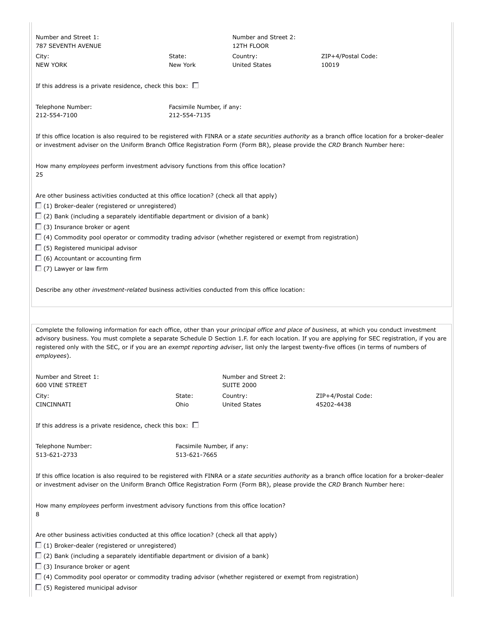| Number and Street 1:<br><b>787 SEVENTH AVENUE</b>                                                                                                                                                                                                                                                                                                                                                                                                 |                                                                                                                                                                                                                                                                                                                                                                | Number and Street 2:<br><b>12TH FLOOR</b> |                                                                                                                                                                                                                                                                                                                                                                                                                                              |  |  |  |  |
|---------------------------------------------------------------------------------------------------------------------------------------------------------------------------------------------------------------------------------------------------------------------------------------------------------------------------------------------------------------------------------------------------------------------------------------------------|----------------------------------------------------------------------------------------------------------------------------------------------------------------------------------------------------------------------------------------------------------------------------------------------------------------------------------------------------------------|-------------------------------------------|----------------------------------------------------------------------------------------------------------------------------------------------------------------------------------------------------------------------------------------------------------------------------------------------------------------------------------------------------------------------------------------------------------------------------------------------|--|--|--|--|
| City:<br><b>NEW YORK</b>                                                                                                                                                                                                                                                                                                                                                                                                                          | State:<br>New York                                                                                                                                                                                                                                                                                                                                             | Country:<br><b>United States</b>          | ZIP+4/Postal Code:<br>10019                                                                                                                                                                                                                                                                                                                                                                                                                  |  |  |  |  |
|                                                                                                                                                                                                                                                                                                                                                                                                                                                   | If this address is a private residence, check this box: $\square$                                                                                                                                                                                                                                                                                              |                                           |                                                                                                                                                                                                                                                                                                                                                                                                                                              |  |  |  |  |
| Telephone Number:<br>212-554-7100                                                                                                                                                                                                                                                                                                                                                                                                                 | Facsimile Number, if any:<br>212-554-7135                                                                                                                                                                                                                                                                                                                      |                                           |                                                                                                                                                                                                                                                                                                                                                                                                                                              |  |  |  |  |
| or investment adviser on the Uniform Branch Office Registration Form (Form BR), please provide the CRD Branch Number here:                                                                                                                                                                                                                                                                                                                        |                                                                                                                                                                                                                                                                                                                                                                |                                           | If this office location is also required to be registered with FINRA or a state securities authority as a branch office location for a broker-dealer                                                                                                                                                                                                                                                                                         |  |  |  |  |
| How many <i>employees</i> perform investment advisory functions from this office location?<br>25                                                                                                                                                                                                                                                                                                                                                  |                                                                                                                                                                                                                                                                                                                                                                |                                           |                                                                                                                                                                                                                                                                                                                                                                                                                                              |  |  |  |  |
| $\Box$ (3) Insurance broker or agent<br>$\Box$ (5) Registered municipal advisor<br>$\Box$ (6) Accountant or accounting firm<br>$\Box$ (7) Lawyer or law firm                                                                                                                                                                                                                                                                                      | Are other business activities conducted at this office location? (check all that apply)<br>$\Box$ (1) Broker-dealer (registered or unregistered)<br>$\Box$ (2) Bank (including a separately identifiable department or division of a bank)<br>$\Box$ (4) Commodity pool operator or commodity trading advisor (whether registered or exempt from registration) |                                           |                                                                                                                                                                                                                                                                                                                                                                                                                                              |  |  |  |  |
| Describe any other <i>investment-related</i> business activities conducted from this office location:                                                                                                                                                                                                                                                                                                                                             |                                                                                                                                                                                                                                                                                                                                                                |                                           |                                                                                                                                                                                                                                                                                                                                                                                                                                              |  |  |  |  |
|                                                                                                                                                                                                                                                                                                                                                                                                                                                   |                                                                                                                                                                                                                                                                                                                                                                |                                           |                                                                                                                                                                                                                                                                                                                                                                                                                                              |  |  |  |  |
| employees).                                                                                                                                                                                                                                                                                                                                                                                                                                       |                                                                                                                                                                                                                                                                                                                                                                |                                           | Complete the following information for each office, other than your principal office and place of business, at which you conduct investment<br>advisory business. You must complete a separate Schedule D Section 1.F. for each location. If you are applying for SEC registration, if you are<br>registered only with the SEC, or if you are an exempt reporting adviser, list only the largest twenty-five offices (in terms of numbers of |  |  |  |  |
| Number and Street 1:<br>600 VINE STREET                                                                                                                                                                                                                                                                                                                                                                                                           |                                                                                                                                                                                                                                                                                                                                                                | Number and Street 2:<br><b>SUITE 2000</b> |                                                                                                                                                                                                                                                                                                                                                                                                                                              |  |  |  |  |
| City:<br>CINCINNATI                                                                                                                                                                                                                                                                                                                                                                                                                               | State:<br>Ohio                                                                                                                                                                                                                                                                                                                                                 | Country:<br>United States                 | ZIP+4/Postal Code:<br>45202-4438                                                                                                                                                                                                                                                                                                                                                                                                             |  |  |  |  |
| If this address is a private residence, check this box: $\square$                                                                                                                                                                                                                                                                                                                                                                                 |                                                                                                                                                                                                                                                                                                                                                                |                                           |                                                                                                                                                                                                                                                                                                                                                                                                                                              |  |  |  |  |
| Telephone Number:<br>513-621-2733                                                                                                                                                                                                                                                                                                                                                                                                                 | Facsimile Number, if any:<br>513-621-7665                                                                                                                                                                                                                                                                                                                      |                                           |                                                                                                                                                                                                                                                                                                                                                                                                                                              |  |  |  |  |
| If this office location is also required to be registered with FINRA or a state securities authority as a branch office location for a broker-dealer<br>or investment adviser on the Uniform Branch Office Registration Form (Form BR), please provide the CRD Branch Number here:                                                                                                                                                                |                                                                                                                                                                                                                                                                                                                                                                |                                           |                                                                                                                                                                                                                                                                                                                                                                                                                                              |  |  |  |  |
| How many employees perform investment advisory functions from this office location?<br>8                                                                                                                                                                                                                                                                                                                                                          |                                                                                                                                                                                                                                                                                                                                                                |                                           |                                                                                                                                                                                                                                                                                                                                                                                                                                              |  |  |  |  |
| Are other business activities conducted at this office location? (check all that apply)<br>$\Box$ (1) Broker-dealer (registered or unregistered)<br>$\Box$ (2) Bank (including a separately identifiable department or division of a bank)<br>$\Box$ (3) Insurance broker or agent<br>$\Box$ (4) Commodity pool operator or commodity trading advisor (whether registered or exempt from registration)<br>$\Box$ (5) Registered municipal advisor |                                                                                                                                                                                                                                                                                                                                                                |                                           |                                                                                                                                                                                                                                                                                                                                                                                                                                              |  |  |  |  |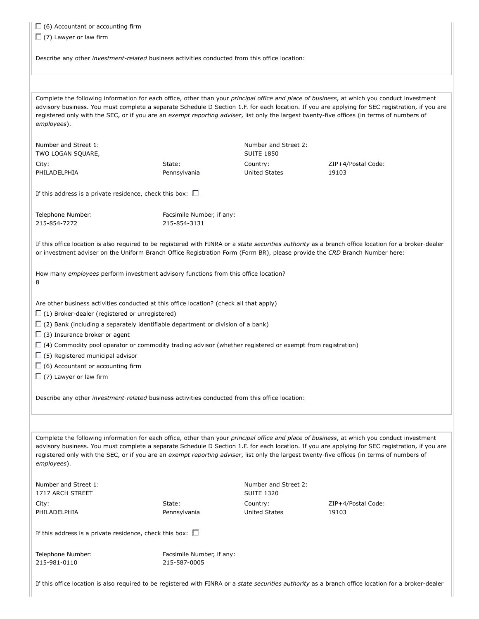$\Box$  (6) Accountant or accounting firm

 $\Box$  (7) Lawyer or law firm

Describe any other *investment-related* business activities conducted from this office location:

Complete the following information for each office, other than your *principal office and place of business*, at which you conduct investment advisory business. You must complete a separate Schedule D Section 1.F. for each location. If you are applying for SEC registration, if you are registered only with the SEC, or if you are an *exempt reporting adviser*, list only the largest twenty-five offices (in terms of numbers of *employees*).

Number and Street 1: TWO LOGAN SQUARE, City: PHILADELPHIA

State: Pennsylvania Number and Street 2: SUITE 1850 Country: United States

ZIP+4/Postal Code: 19103

If this address is a private residence, check this box:  $\square$ 

| Telephone Number: | Facsimile Number, if any: |
|-------------------|---------------------------|
| 215-854-7272      | 215-854-3131              |

If this office location is also required to be registered with FINRA or a *state securities authority* as a branch office location for a broker-dealer or investment adviser on the Uniform Branch Office Registration Form (Form BR), please provide the *CRD* Branch Number here:

How many *employees* perform investment advisory functions from this office location? 8

Are other business activities conducted at this office location? (check all that apply)

 $\Box$  (1) Broker-dealer (registered or unregistered)

 $\Box$  (2) Bank (including a separately identifiable department or division of a bank)

 $\Box$  (3) Insurance broker or agent

 $\Box$  (4) Commodity pool operator or commodity trading advisor (whether registered or exempt from registration)

 $\square$  (5) Registered municipal advisor

 $\square$  (6) Accountant or accounting firm

 $\Box$  (7) Lawyer or law firm

Describe any other *investment-related* business activities conducted from this office location:

Complete the following information for each office, other than your *principal office and place of business*, at which you conduct investment advisory business. You must complete a separate Schedule D Section 1.F. for each location. If you are applying for SEC registration, if you are registered only with the SEC, or if you are an *exempt reporting adviser*, list only the largest twenty-five offices (in terms of numbers of *employees*).

| Number and Street 1:                                              |              | Number and Street 2:<br><b>SUITE 1320</b> |                    |  |
|-------------------------------------------------------------------|--------------|-------------------------------------------|--------------------|--|
| 1717 ARCH STREET                                                  |              |                                           |                    |  |
| City:                                                             | State:       | Country:                                  | ZIP+4/Postal Code: |  |
| PHILADELPHIA                                                      | Pennsylvania | United States                             | 19103              |  |
| If this address is a private residence, check this box: $\square$ |              |                                           |                    |  |

Telephone Number: 215-981-0110

Facsimile Number, if any: 215-587-0005

If this office location is also required to be registered with FINRA or a *state securities authority* as a branch office location for a broker-dealer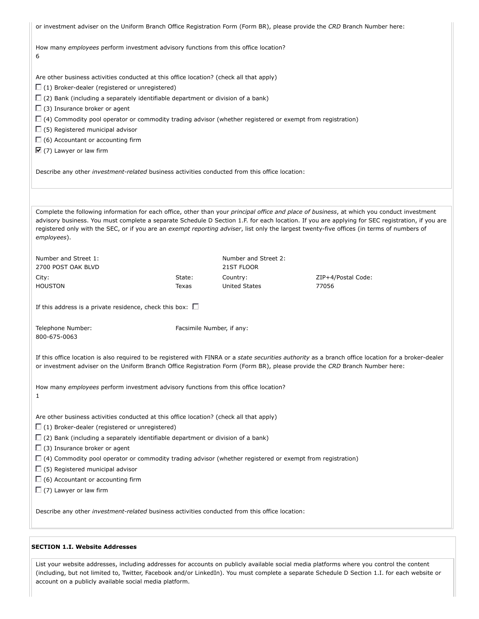| or investment adviser on the Uniform Branch Office Registration Form (Form BR), please provide the CRD Branch Number here:                                                                                                                                                                                                                                                                                                                                                                                                                                                                                                                |                           |                                    |                             |  |
|-------------------------------------------------------------------------------------------------------------------------------------------------------------------------------------------------------------------------------------------------------------------------------------------------------------------------------------------------------------------------------------------------------------------------------------------------------------------------------------------------------------------------------------------------------------------------------------------------------------------------------------------|---------------------------|------------------------------------|-----------------------------|--|
| How many employees perform investment advisory functions from this office location?<br>6                                                                                                                                                                                                                                                                                                                                                                                                                                                                                                                                                  |                           |                                    |                             |  |
| Are other business activities conducted at this office location? (check all that apply)<br>$\Box$ (1) Broker-dealer (registered or unregistered)<br>$\Box$ (2) Bank (including a separately identifiable department or division of a bank)<br>$\Box$ (3) Insurance broker or agent<br>$\Box$ (4) Commodity pool operator or commodity trading advisor (whether registered or exempt from registration)<br>$\Box$ (5) Registered municipal advisor<br>$\Box$ (6) Accountant or accounting firm<br>$\nabla$ (7) Lawyer or law firm<br>Describe any other <i>investment-related</i> business activities conducted from this office location: |                           |                                    |                             |  |
| Complete the following information for each office, other than your principal office and place of business, at which you conduct investment<br>advisory business. You must complete a separate Schedule D Section 1.F. for each location. If you are applying for SEC registration, if you are<br>registered only with the SEC, or if you are an exempt reporting adviser, list only the largest twenty-five offices (in terms of numbers of<br>employees).                                                                                                                                                                               |                           |                                    |                             |  |
| Number and Street 1:<br>2700 POST OAK BLVD                                                                                                                                                                                                                                                                                                                                                                                                                                                                                                                                                                                                |                           | Number and Street 2:<br>21ST FLOOR |                             |  |
| City:<br><b>HOUSTON</b>                                                                                                                                                                                                                                                                                                                                                                                                                                                                                                                                                                                                                   | State:<br>Texas           | Country:<br><b>United States</b>   | ZIP+4/Postal Code:<br>77056 |  |
| If this address is a private residence, check this box: $\square$                                                                                                                                                                                                                                                                                                                                                                                                                                                                                                                                                                         |                           |                                    |                             |  |
| Telephone Number:<br>800-675-0063                                                                                                                                                                                                                                                                                                                                                                                                                                                                                                                                                                                                         | Facsimile Number, if any: |                                    |                             |  |
| If this office location is also required to be registered with FINRA or a <i>state securities authority</i> as a branch office location for a broker-dealer<br>or investment adviser on the Uniform Branch Office Registration Form (Form BR), please provide the CRD Branch Number here:                                                                                                                                                                                                                                                                                                                                                 |                           |                                    |                             |  |
| How many employees perform investment advisory functions from this office location?<br>1                                                                                                                                                                                                                                                                                                                                                                                                                                                                                                                                                  |                           |                                    |                             |  |
| Are other business activities conducted at this office location? (check all that apply)<br>$\Box$ (1) Broker-dealer (registered or unregistered)<br>$\Box$ (2) Bank (including a separately identifiable department or division of a bank)<br>$\Box$ (3) Insurance broker or agent<br>$\Box$ (4) Commodity pool operator or commodity trading advisor (whether registered or exempt from registration)<br>$\Box$ (5) Registered municipal advisor<br>$\Box$ (6) Accountant or accounting firm<br>$\Box$ (7) Lawyer or law firm                                                                                                            |                           |                                    |                             |  |
| Describe any other <i>investment-related</i> business activities conducted from this office location:                                                                                                                                                                                                                                                                                                                                                                                                                                                                                                                                     |                           |                                    |                             |  |

## **SECTION 1.I. Website Addresses**

List your website addresses, including addresses for accounts on publicly available social media platforms where you control the content (including, but not limited to, Twitter, Facebook and/or LinkedIn). You must complete a separate Schedule D Section 1.I. for each website or account on a publicly available social media platform.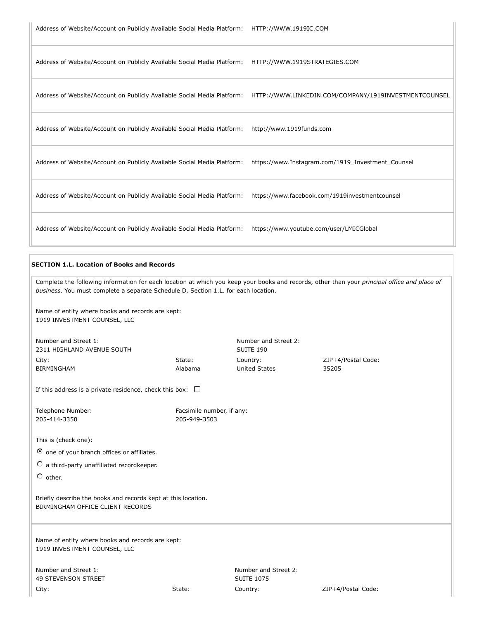Address of Website/Account on Publicly Available Social Media Platform: HTTP://WWW.1919STRATEGIES.COM

| Address of Website/Account on Publicly Available Social Media Platform: | HTTP://WWW.LINKEDIN.COM/COMPANY/1919INVESTMENTCOUNSEL |
|-------------------------------------------------------------------------|-------------------------------------------------------|
| Address of Website/Account on Publicly Available Social Media Platform: | http://www.1919funds.com                              |
| Address of Website/Account on Publicly Available Social Media Platform: | https://www.Instagram.com/1919_Investment_Counsel     |
| Address of Website/Account on Publicly Available Social Media Platform: | https://www.facebook.com/1919investmentcounsel        |
| Address of Website/Account on Publicly Available Social Media Platform: | https://www.youtube.com/user/LMICGlobal               |

#### **SECTION 1.L. Location of Books and Records**

| Complete the following information for each location at which you keep your books and records, other than your principal office and place of<br>business. You must complete a separate Schedule D, Section 1.L. for each location. |                           |                                           |                    |  |
|------------------------------------------------------------------------------------------------------------------------------------------------------------------------------------------------------------------------------------|---------------------------|-------------------------------------------|--------------------|--|
| Name of entity where books and records are kept:<br>1919 INVESTMENT COUNSEL, LLC                                                                                                                                                   |                           |                                           |                    |  |
| Number and Street 1:<br>2311 HIGHLAND AVENUE SOUTH                                                                                                                                                                                 |                           | Number and Street 2:<br>SUITE 190         |                    |  |
| City:                                                                                                                                                                                                                              | State:                    | Country:                                  | ZIP+4/Postal Code: |  |
| <b>BIRMINGHAM</b>                                                                                                                                                                                                                  | Alabama                   | <b>United States</b>                      | 35205              |  |
| If this address is a private residence, check this box: $\square$                                                                                                                                                                  |                           |                                           |                    |  |
| Telephone Number:                                                                                                                                                                                                                  | Facsimile number, if any: |                                           |                    |  |
| 205-414-3350                                                                                                                                                                                                                       | 205-949-3503              |                                           |                    |  |
| This is (check one):                                                                                                                                                                                                               |                           |                                           |                    |  |
| O one of your branch offices or affiliates.                                                                                                                                                                                        |                           |                                           |                    |  |
| $\circ$ a third-party unaffiliated recordkeeper.                                                                                                                                                                                   |                           |                                           |                    |  |
| $\circ$ other.                                                                                                                                                                                                                     |                           |                                           |                    |  |
| Briefly describe the books and records kept at this location.<br>BIRMINGHAM OFFICE CLIENT RECORDS                                                                                                                                  |                           |                                           |                    |  |
| Name of entity where books and records are kept:<br>1919 INVESTMENT COUNSEL, LLC                                                                                                                                                   |                           |                                           |                    |  |
| Number and Street 1:<br><b>49 STEVENSON STREET</b>                                                                                                                                                                                 |                           | Number and Street 2:<br><b>SUITE 1075</b> |                    |  |
| City:                                                                                                                                                                                                                              | State:                    | Country:                                  | ZIP+4/Postal Code: |  |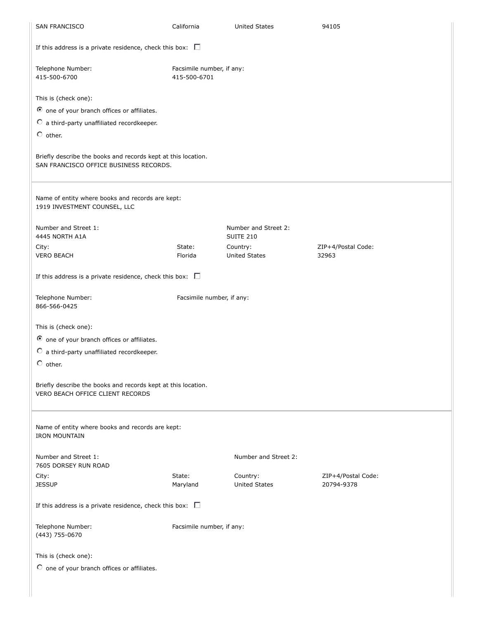| SAN FRANCISCO                                                                                                                             | California                                | <b>United States</b>                     | 94105                            |  |
|-------------------------------------------------------------------------------------------------------------------------------------------|-------------------------------------------|------------------------------------------|----------------------------------|--|
| If this address is a private residence, check this box: $\square$                                                                         |                                           |                                          |                                  |  |
| Telephone Number:<br>415-500-6700                                                                                                         | Facsimile number, if any:<br>415-500-6701 |                                          |                                  |  |
| This is (check one):<br>O one of your branch offices or affiliates.<br>$\circ$ a third-party unaffiliated recordkeeper.<br>$\circ$ other. |                                           |                                          |                                  |  |
| Briefly describe the books and records kept at this location.<br>SAN FRANCISCO OFFICE BUSINESS RECORDS.                                   |                                           |                                          |                                  |  |
| Name of entity where books and records are kept:<br>1919 INVESTMENT COUNSEL, LLC                                                          |                                           |                                          |                                  |  |
| Number and Street 1:<br>4445 NORTH A1A                                                                                                    |                                           | Number and Street 2:<br><b>SUITE 210</b> |                                  |  |
| City:<br><b>VERO BEACH</b>                                                                                                                | State:<br>Florida                         | Country:<br><b>United States</b>         | ZIP+4/Postal Code:<br>32963      |  |
| If this address is a private residence, check this box: $\square$                                                                         |                                           |                                          |                                  |  |
| Telephone Number:<br>866-566-0425                                                                                                         | Facsimile number, if any:                 |                                          |                                  |  |
| This is (check one):<br>O one of your branch offices or affiliates.<br>$\circ$ a third-party unaffiliated recordkeeper.<br>$\circ$ other. |                                           |                                          |                                  |  |
| Briefly describe the books and records kept at this location.<br>VERO BEACH OFFICE CLIENT RECORDS                                         |                                           |                                          |                                  |  |
| Name of entity where books and records are kept:<br><b>IRON MOUNTAIN</b>                                                                  |                                           |                                          |                                  |  |
| Number and Street 1:<br>7605 DORSEY RUN ROAD                                                                                              |                                           | Number and Street 2:                     |                                  |  |
| City:<br><b>JESSUP</b>                                                                                                                    | State:<br>Maryland                        | Country:<br><b>United States</b>         | ZIP+4/Postal Code:<br>20794-9378 |  |
| If this address is a private residence, check this box: $\square$                                                                         |                                           |                                          |                                  |  |
| Telephone Number:<br>(443) 755-0670                                                                                                       | Facsimile number, if any:                 |                                          |                                  |  |
| This is (check one):                                                                                                                      |                                           |                                          |                                  |  |
| O one of your branch offices or affiliates.                                                                                               |                                           |                                          |                                  |  |
|                                                                                                                                           |                                           |                                          |                                  |  |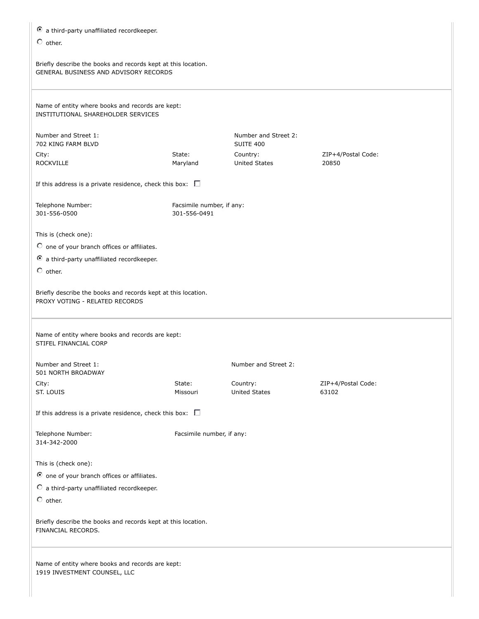| a third-party unaffiliated recordkeeper.                                                               |                           |                                   |                    |  |  |
|--------------------------------------------------------------------------------------------------------|---------------------------|-----------------------------------|--------------------|--|--|
| $\circ$ other.                                                                                         |                           |                                   |                    |  |  |
| Briefly describe the books and records kept at this location.<br>GENERAL BUSINESS AND ADVISORY RECORDS |                           |                                   |                    |  |  |
| Name of entity where books and records are kept:<br>INSTITUTIONAL SHAREHOLDER SERVICES                 |                           |                                   |                    |  |  |
| Number and Street 1:<br>702 KING FARM BLVD                                                             |                           | Number and Street 2:<br>SUITE 400 |                    |  |  |
| City:                                                                                                  | State:                    | Country:                          | ZIP+4/Postal Code: |  |  |
| <b>ROCKVILLE</b>                                                                                       | Maryland                  | <b>United States</b>              | 20850              |  |  |
| If this address is a private residence, check this box: $\square$                                      |                           |                                   |                    |  |  |
| Telephone Number:                                                                                      | Facsimile number, if any: |                                   |                    |  |  |
| 301-556-0500                                                                                           | 301-556-0491              |                                   |                    |  |  |
| This is (check one):                                                                                   |                           |                                   |                    |  |  |
| O one of your branch offices or affiliates.                                                            |                           |                                   |                    |  |  |
| a third-party unaffiliated recordkeeper.                                                               |                           |                                   |                    |  |  |
| $\circ$ other.                                                                                         |                           |                                   |                    |  |  |
| Briefly describe the books and records kept at this location.<br>PROXY VOTING - RELATED RECORDS        |                           |                                   |                    |  |  |
| Name of entity where books and records are kept:<br>STIFEL FINANCIAL CORP                              |                           |                                   |                    |  |  |
| Number and Street 1:<br>501 NORTH BROADWAY                                                             |                           | Number and Street 2:              |                    |  |  |
| City:                                                                                                  | State:                    | Country:                          | ZIP+4/Postal Code: |  |  |
| ST. LOUIS                                                                                              | Missouri                  | <b>United States</b>              | 63102              |  |  |
| If this address is a private residence, check this box: $\square$                                      |                           |                                   |                    |  |  |
| Telephone Number:<br>314-342-2000                                                                      | Facsimile number, if any: |                                   |                    |  |  |
| This is (check one):                                                                                   |                           |                                   |                    |  |  |
| O one of your branch offices or affiliates.                                                            |                           |                                   |                    |  |  |
| $\circ$ a third-party unaffiliated recordkeeper.                                                       |                           |                                   |                    |  |  |
| $\circ$ other.                                                                                         |                           |                                   |                    |  |  |
| Briefly describe the books and records kept at this location.<br>FINANCIAL RECORDS.                    |                           |                                   |                    |  |  |
| Name of entity where books and records are kept:<br>1919 INVESTMENT COUNSEL, LLC                       |                           |                                   |                    |  |  |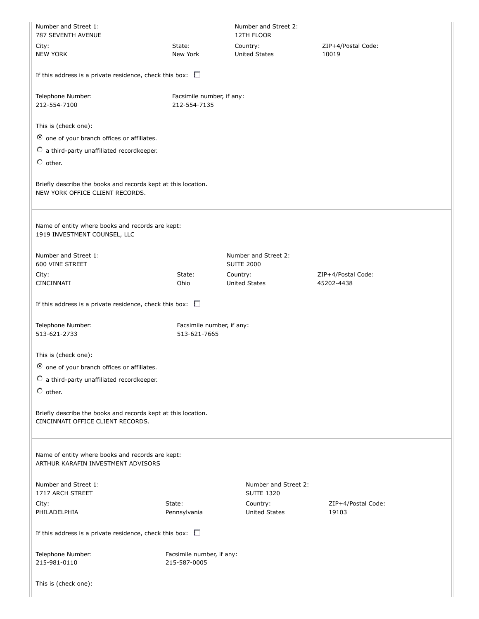| Number and Street 1:<br>787 SEVENTH AVENUE                                                         |                                           | Number and Street 2:<br>12TH FLOOR        |                    |  |
|----------------------------------------------------------------------------------------------------|-------------------------------------------|-------------------------------------------|--------------------|--|
| City:                                                                                              | State:                                    | Country:                                  | ZIP+4/Postal Code: |  |
| <b>NEW YORK</b>                                                                                    | New York                                  | <b>United States</b>                      | 10019              |  |
| If this address is a private residence, check this box: $\square$                                  |                                           |                                           |                    |  |
| Telephone Number:<br>212-554-7100                                                                  | Facsimile number, if any:<br>212-554-7135 |                                           |                    |  |
| This is (check one):                                                                               |                                           |                                           |                    |  |
| O one of your branch offices or affiliates.                                                        |                                           |                                           |                    |  |
| C a third-party unaffiliated recordkeeper.                                                         |                                           |                                           |                    |  |
| $\circ$ other.                                                                                     |                                           |                                           |                    |  |
|                                                                                                    |                                           |                                           |                    |  |
| Briefly describe the books and records kept at this location.<br>NEW YORK OFFICE CLIENT RECORDS.   |                                           |                                           |                    |  |
| Name of entity where books and records are kept:<br>1919 INVESTMENT COUNSEL, LLC                   |                                           |                                           |                    |  |
| Number and Street 1:<br>600 VINE STREET                                                            |                                           | Number and Street 2:<br><b>SUITE 2000</b> |                    |  |
| City:                                                                                              | State:                                    | Country:                                  | ZIP+4/Postal Code: |  |
| CINCINNATI                                                                                         | Ohio                                      | <b>United States</b>                      | 45202-4438         |  |
| If this address is a private residence, check this box: $\Box$                                     |                                           |                                           |                    |  |
| Telephone Number:                                                                                  | Facsimile number, if any:                 |                                           |                    |  |
| 513-621-2733                                                                                       | 513-621-7665                              |                                           |                    |  |
| This is (check one):                                                                               |                                           |                                           |                    |  |
| O one of your branch offices or affiliates.                                                        |                                           |                                           |                    |  |
| $\circ$ a third-party unaffiliated recordkeeper.                                                   |                                           |                                           |                    |  |
| $\circ$ other.                                                                                     |                                           |                                           |                    |  |
| Briefly describe the books and records kept at this location.<br>CINCINNATI OFFICE CLIENT RECORDS. |                                           |                                           |                    |  |
| Name of entity where books and records are kept:<br>ARTHUR KARAFIN INVESTMENT ADVISORS             |                                           |                                           |                    |  |
| Number and Street 1:<br>1717 ARCH STREET                                                           |                                           | Number and Street 2:<br><b>SUITE 1320</b> |                    |  |
| City:                                                                                              | State:                                    | Country:                                  | ZIP+4/Postal Code: |  |
| PHILADELPHIA                                                                                       | Pennsylvania                              | <b>United States</b>                      | 19103              |  |
| If this address is a private residence, check this box: $\square$                                  |                                           |                                           |                    |  |
| Telephone Number:<br>215-981-0110                                                                  | Facsimile number, if any:<br>215-587-0005 |                                           |                    |  |
| This is (check one):                                                                               |                                           |                                           |                    |  |